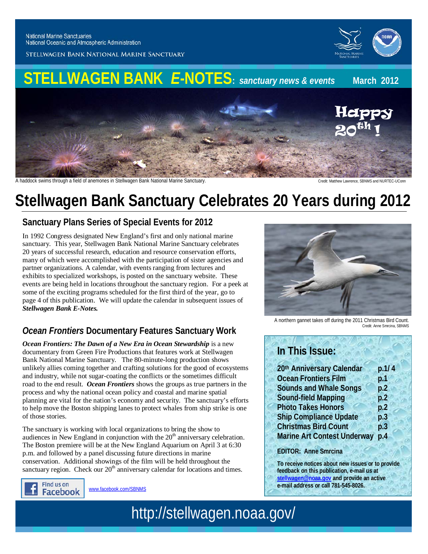

STELLWAGEN BANK NATIONAL MARINE SANCTUARY



A haddock swims through a field of anemones in Stellwagen Bank National Marine Sanctuary. Credit: Matthew Lawrence, SBNMS and NURTEC-UConn

# **Stellwagen Bank Sanctuary Celebrates 20 Years during 2012**

## **Sanctuary Plans Series of Special Events for 2012**

In 1992 Congress designated New England's first and only national marine sanctuary. This year, Stellwagen Bank National Marine Sanctuary celebrates 20 years of successful research, education and resource conservation efforts, many of which were accomplished with the participation of sister agencies and partner organizations. A calendar, with events ranging from lectures and exhibits to specialized workshops, is posted on the sanctuary website. These events are being held in locations throughout the sanctuary region. For a peek at some of the exciting programs scheduled for the first third of the year, go to page 4 of this publication. We will update the calendar in subsequent issues of *Stellwagen Bank E-Notes.*

## *Ocean Frontiers* **Documentary Features Sanctuary Work**

*Ocean Frontiers: The Dawn of a New Era in Ocean Stewardship* is a new documentary from Green Fire Productions that features work at Stellwagen Bank National Marine Sanctuary. The 80-minute-long production shows unlikely allies coming together and crafting solutions for the good of ecosystems and industry, while not sugar-coating the conflicts or the sometimes difficult road to the end result. *Ocean Frontiers* shows the groups as true partners in the process and why the national ocean policy and coastal and marine spatial planning are vital for the nation's economy and security. The sanctuary's efforts to help move the Boston shipping lanes to protect whales from ship strike is one of those stories.

The sanctuary is working with local organizations to bring the show to audiences in New England in conjunction with the  $20<sup>th</sup>$  anniversary celebration. The Boston premiere will be at the New England Aquarium on April 3 at 6:30 p.m. and followed by a panel discussing future directions in marine conservation. Additional showings of the film will be held throughout the sanctuary region. Check our 20<sup>th</sup> anniversary calendar for locations and times.



[www.facebook.com/SBNMS](http://www.facebook.com/SBNMS)



A northern gannet takes off during the 2011 Christmas Bird Count. Credit: Anne Smrcina, SBNMS

## **In This Issue:**

| 20th Anniversary Calendar          | p.1/4 |
|------------------------------------|-------|
| <b>Ocean Frontiers Film</b>        | p.1   |
| <b>Sounds and Whale Songs</b>      | p.2   |
| <b>Sound-field Mapping</b>         | p.2   |
| <b>Photo Takes Honors</b>          | p.2   |
| <b>Ship Compliance Update</b>      | p.3   |
| <b>Christmas Bird Count</b>        | p.3   |
| <b>Marine Art Contest Underway</b> | p.4   |

#### **EDITOR: Anne Smrcina**

**To receive notices about new issues or to provide feedback on this publication, e-mail us at [stellwagen@noaa.gov](mailto:stellwagen@noaa.gov) and provide an active e-mail address or call 781-545-8026.**

http://stellwagen.noaa.gov/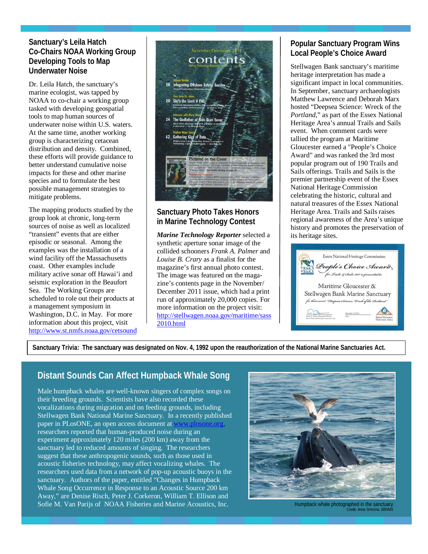#### **Sanctuary's Leila Hatch Co-Chairs NOAA Working Group Developing Tools to Map Underwater Noise**

Dr. Leila Hatch, the sanctuary's marine ecologist, was tapped by NOAA to co-chair a working group tasked with developing geospatial tools to map human sources of underwater noise within U.S. waters. At the same time, another working group is characterizing cetacean distribution and density. Combined, these efforts will provide guidance to better understand cumulative noise impacts for these and other marine species and to formulate the best possible management strategies to mitigate problems.

The mapping products studied by the group look at chronic, long-term sources of noise as well as localized "transient" events that are either episodic or seasonal. Among the examples was the installation of a wind facility off the Massachusetts coast. Other examples include military active sonar off Hawai'i and seismic exploration in the Beaufort Sea. The Working Groups are scheduled to role out their products at a management symposium in Washington, D.C. in May. For more information about this project, visit <http://www.st.nmfs.noaa.gov/cetsound>

|    | Mirine Technology Reporter.<br><b>Bibeau Veritis</b>                                                                                                                                                                           |
|----|--------------------------------------------------------------------------------------------------------------------------------------------------------------------------------------------------------------------------------|
| 16 | <b>Integrating Offshore Safety, Service</b><br>Lessons' learned from Decowater Horizon                                                                                                                                         |
|    | View from St. John's.<br>20 Sky's the Limit @ PAL<br>Provincial Aerospace Limited (PML) is capilly growing as a                                                                                                                |
| 24 | Interview with Marty Klei<br>The Godfather of Side Scan Sonar<br>Marty Klein discusses with MTR a filterno of deven<br>& discovery. - by Rhonda Muniz<br><b>Shallow Water Survey</b>                                           |
|    | 42 Gathering Gigs of Data<br>NOMI's Great Lakes Observing System is essaggial to<br>maintaining a quality water supply. - by Linda Joy                                                                                         |
|    | <b>Pictured on the Cover</b><br><b>NOON</b><br>Pictured on this month's cover in "Underwater Wwers" in Knight inter as revealed by multi-<br>beatt some technology." The enage, submitted by Robert Kung and acquired February |
|    | 2011 at Anght Inici, Entish Columbia, Canada was voted the top image in MTR's inaugu-<br>rd image contest. See results starting on page 34.<br><b>Pictured in the Sackground:</b>                                              |

#### **Sanctuary Photo Takes Honors in Marine Technology Contest**

*Marine Technology Reporter* selected a synthetic aperture sonar image of the collided schooners *Frank A. Palmer* and *Louise B. Crary* as a finalist for the magazine's first annual photo contest. The image was featured on the magazine's contents page in the November/ December 2011 issue, which had a print run of approximately 20,000 copies. For more information on the project visit: [http://stellwagen.noaa.gov/maritime/sass](http://stellwagen.noaa.gov/maritime/sass2010.html) [2010.html](http://stellwagen.noaa.gov/maritime/sass2010.html)

#### **Popular Sanctuary Program Wins Local People's Choice Award**

Stellwagen Bank sanctuary's maritime heritage interpretation has made a significant impact in local communities. In September, sanctuary archaeologists Matthew Lawrence and Deborah Marx hosted "Deepsea Science: Wreck of the *Portland*," as part of the Essex National Heritage Area's annual Trails and Sails event. When comment cards were tallied the program at Maritime Gloucester earned a "People's Choice Award" and was ranked the 3rd most popular program out of 190 Trails and Sails offerings. Trails and Sails is the premier partnership event of the Essex National Heritage Commission celebrating the historic, cultural and natural treasures of the Essex National Heritage Area. Trails and Sails raises regional awareness of the Area's unique history and promotes the preservation of its heritage sites.



**Sanctuary Trivia: The sanctuary was designated on Nov. 4, 1992 upon the reauthorization of the National Marine Sanctuaries Act.**

### **Distant Sounds Can Affect Humpback Whale Song**

Male humpback whales are well-known singers of complex songs on their breeding grounds. Scientists have also recorded these vocalizations during migration and on feeding grounds, including Stellwagen Bank National Marine Sanctuary. In a recently published paper in PLosONE, an open access document at [www.plosone.org,](http://www.plosone.org/) researchers reported that human-produced noise during an experiment approximately 120 miles (200 km) away from the sanctuary led to reduced amounts of singing. The researchers suggest that these anthropogenic sounds, such as those used in acoustic fisheries technology, may affect vocalizing whales. The researchers used data from a network of pop-up acoustic buoys in the sanctuary. Authors of the paper, entitled "Changes in Humpback Whale Song Occurrence in Response to an Acoustic Source 200 km Away," are Denise Risch, Peter J. Corkeron, William T. Ellison and Sofie M. Van Parijs of NOAA Fisheries and Marine Acoustics, Inc.<br>Credit: Anne Smrcina, SBNMS

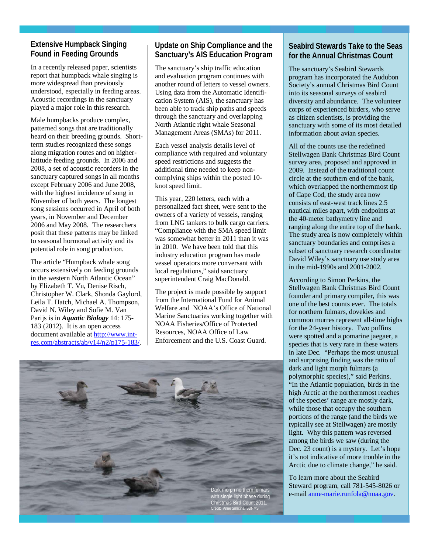#### Found in Feeding Grounds **Extensive Humpback Singing**

In a recently released paper, scientists report that humpback whale singing is more widespread than previously understood, especially in feeding areas. Acoustic recordings in the sanctuary played a major role in this research.

Male humpbacks produce complex, patterned songs that are traditionally heard on their breeding grounds. Shortterm studies recognized these songs along migration routes and on higherlatitude feeding grounds. In 2006 and 2008, a set of acoustic recorders in the sanctuary captured songs in all months except February 2006 and June 2008, with the highest incidence of song in November of both years. The longest song sessions occurred in April of both years, in November and December 2006 and May 2008. The researchers posit that these patterns may be linked to seasonal hormonal activity and its potential role in song production.

The article "Humpback whale song occurs extensively on feeding grounds in the western North Atlantic Ocean" by Elizabeth T. Vu, Denise Risch, Christopher W. Clark, Shonda Gaylord, Leila T. Hatch, Michael A. Thompson, David N. Wiley and Sofie M. Van Parijs is in *Aquatic Biology* 14: 175- 183 (2012). It is an open access document available at [http://www.int](http://www.int-res.com/abstracts/ab/v14/n2/p175-183/)[res.com/abstracts/ab/v14/n2/p175-183/.](http://www.int-res.com/abstracts/ab/v14/n2/p175-183/)

#### **Update on Ship Compliance and the Sanctuary's AIS Education Program**

The sanctuary's ship traffic education and evaluation program continues with another round of letters to vessel owners. Using data from the Automatic Identification System (AIS), the sanctuary has been able to track ship paths and speeds through the sanctuary and overlapping North Atlantic right whale Seasonal Management Areas (SMAs) for 2011.

Each vessel analysis details level of compliance with required and voluntary speed restrictions and suggests the additional time needed to keep noncomplying ships within the posted 10 knot speed limit.

This year, 220 letters, each with a personalized fact sheet, were sent to the owners of a variety of vessels, ranging from LNG tankers to bulk cargo carriers. "Compliance with the SMA speed limit was somewhat better in 2011 than it was in 2010. We have been told that this industry education program has made vessel operators more conversant with local regulations," said sanctuary superintendent Craig MacDonald.

The project is made possible by support from the International Fund for Animal Welfare and NOAA's Office of National Marine Sanctuaries working together with NOAA Fisheries/Office of Protected Resources, NOAA Office of Law Enforcement and the U.S. Coast Guard.



#### **Seabird Stewards Take to the Seas for the Annual Christmas Count**

The sanctuary's Seabird Stewards program has incorporated the Audubon Society's annual Christmas Bird Count into its seasonal surveys of seabird diversity and abundance. The volunteer corps of experienced birders, who serve as citizen scientists, is providing the sanctuary with some of its most detailed information about avian species.

All of the counts use the redefined Stellwagen Bank Christmas Bird Count survey area, proposed and approved in 2009. Instead of the traditional count circle at the southern end of the bank, which overlapped the northernmost tip of Cape Cod, the study area now consists of east-west track lines 2.5 nautical miles apart, with endpoints at the 40-meter bathymetry line and ranging along the entire top of the bank. The study area is now completely within sanctuary boundaries and comprises a subset of sanctuary research coordinator David Wiley's sanctuary use study area in the mid-1990s and 2001-2002.

According to Simon Perkins, the Stellwagen Bank Christmas Bird Count founder and primary compiler, this was one of the best counts ever. The totals for northern fulmars, dovekies and common murres represent all-time highs for the 24-year history. Two puffins were spotted and a pomarine jaegaer, a species that is very rare in these waters in late Dec. "Perhaps the most unusual and surprising finding was the ratio of dark and light morph fulmars (a polymorphic species)," said Perkins. "In the Atlantic population, birds in the high Arctic at the northernmost reaches of the species' range are mostly dark, while those that occupy the southern portions of the range (and the birds we typically see at Stellwagen) are mostly light. Why this pattern was reversed among the birds we saw (during the Dec. 23 count) is a mystery. Let's hope it's not indicative of more trouble in the Arctic due to climate change," he said.

To learn more about the Seabird Steward program, call 781-545-8026 or e-mail [anne-marie.runfola@noaa.gov.](mailto:anne-marie.runfola@noaa.gov)